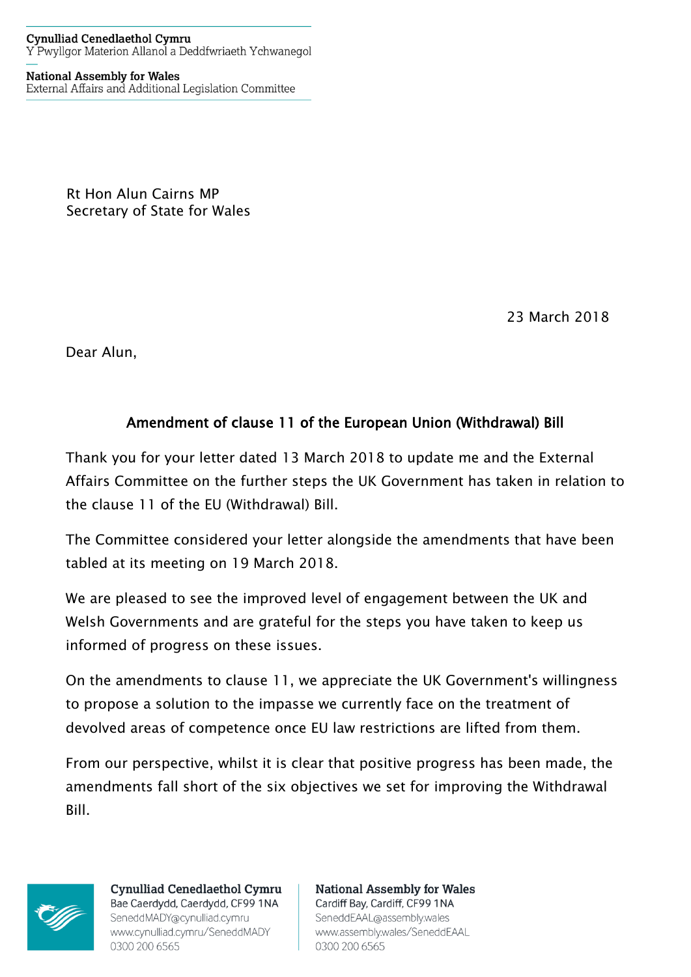## **Cynulliad Cenedlaethol Cymru** Y Pwyllgor Materion Allanol a Deddfwriaeth Ychwanegol

**National Assembly for Wales** External Affairs and Additional Legislation Committee

> Rt Hon Alun Cairns MP Secretary of State for Wales

> > 23 March 2018

Dear Alun,

## Amendment of clause 11 of the European Union (Withdrawal) Bill

Thank you for your letter dated 13 March 2018 to update me and the External Affairs Committee on the further steps the UK Government has taken in relation to the clause 11 of the EU (Withdrawal) Bill.

The Committee considered your letter alongside the amendments that have been tabled at its meeting on 19 March 2018.

We are pleased to see the improved level of engagement between the UK and Welsh Governments and are grateful for the steps you have taken to keep us informed of progress on these issues.

On the amendments to clause 11, we appreciate the UK Government's willingness to propose a solution to the impasse we currently face on the treatment of devolved areas of competence once EU law restrictions are lifted from them.

From our perspective, whilst it is clear that positive progress has been made, the amendments fall short of the six objectives we set for improving the Withdrawal Bill.



**Cynulliad Cenedlaethol Cymru** Bae Caerdydd, Caerdydd, CF99 1NA SeneddMADY@cynulliad.cymru www.cynulliad.cymru/SeneddMADY 0300 200 6565

**National Assembly for Wales** Cardiff Bay, Cardiff, CF99 1NA SeneddEAAL@assembly.wales www.assembly.wales/SeneddEAAL 0300 200 6565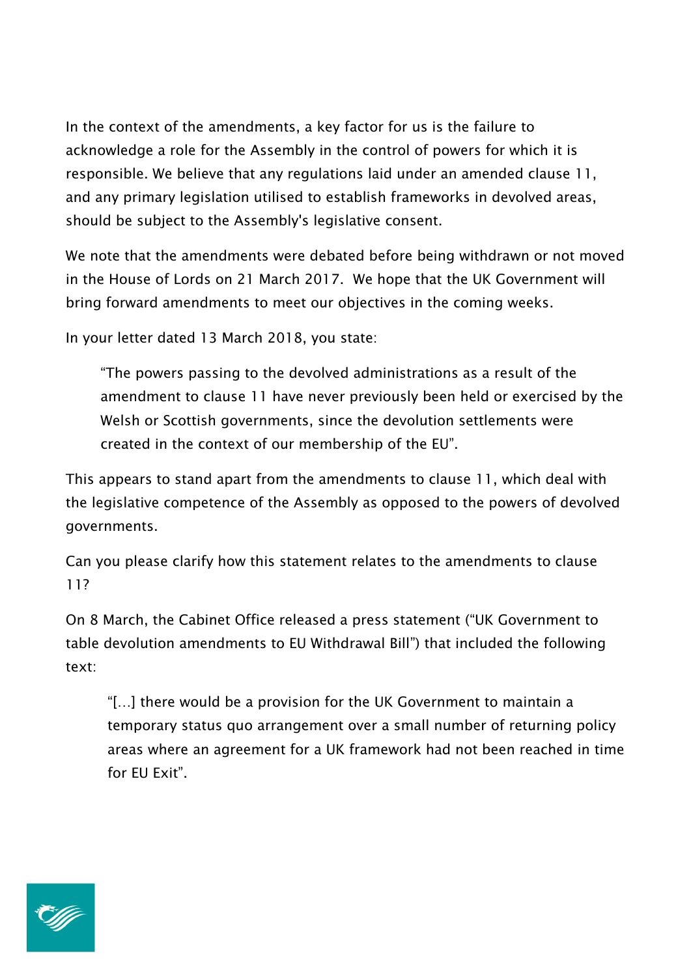In the context of the amendments, a key factor for us is the failure to acknowledge a role for the Assembly in the control of powers for which it is responsible. We believe that any regulations laid under an amended clause 11, and any primary legislation utilised to establish frameworks in devolved areas, should be subject to the Assembly's legislative consent.

We note that the amendments were debated before being withdrawn or not moved in the House of Lords on 21 March 2017. We hope that the UK Government will bring forward amendments to meet our objectives in the coming weeks.

In your letter dated 13 March 2018, you state:

"The powers passing to the devolved administrations as a result of the amendment to clause 11 have never previously been held or exercised by the Welsh or Scottish governments, since the devolution settlements were created in the context of our membership of the EU".

This appears to stand apart from the amendments to clause 11, which deal with the legislative competence of the Assembly as opposed to the powers of devolved governments.

Can you please clarify how this statement relates to the amendments to clause 11?

On 8 March, the Cabinet Office released a press statement ("UK Government to table devolution amendments to EU Withdrawal Bill") that included the following text:

"[…] there would be a provision for the UK Government to maintain a temporary status quo arrangement over a small number of returning policy areas where an agreement for a UK framework had not been reached in time for EU Exit".